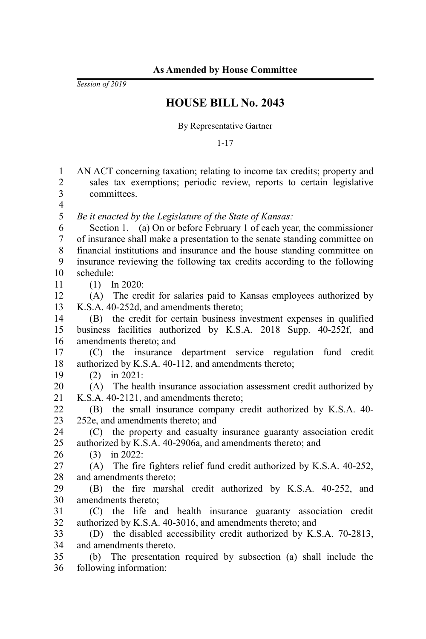*Session of 2019*

## **HOUSE BILL No. 2043**

By Representative Gartner

1-17

AN ACT concerning taxation; relating to income tax credits; property and sales tax exemptions; periodic review, reports to certain legislative committees. *Be it enacted by the Legislature of the State of Kansas:* Section 1. (a) On or before February 1 of each year, the commissioner of insurance shall make a presentation to the senate standing committee on financial institutions and insurance and the house standing committee on insurance reviewing the following tax credits according to the following schedule: (1) In 2020: (A) The credit for salaries paid to Kansas employees authorized by K.S.A. 40-252d, and amendments thereto; (B) the credit for certain business investment expenses in qualified business facilities authorized by K.S.A. 2018 Supp. 40-252f, and amendments thereto; and (C) the insurance department service regulation fund credit authorized by K.S.A. 40-112, and amendments thereto; (2) in 2021: (A) The health insurance association assessment credit authorized by K.S.A. 40-2121, and amendments thereto; (B) the small insurance company credit authorized by K.S.A. 40- 252e, and amendments thereto; and (C) the property and casualty insurance guaranty association credit authorized by K.S.A. 40-2906a, and amendments thereto; and (3) in 2022: (A) The fire fighters relief fund credit authorized by K.S.A. 40-252, and amendments thereto; (B) the fire marshal credit authorized by K.S.A. 40-252, and amendments thereto; (C) the life and health insurance guaranty association credit authorized by K.S.A. 40-3016, and amendments thereto; and (D) the disabled accessibility credit authorized by K.S.A. 70-2813, and amendments thereto. (b) The presentation required by subsection (a) shall include the following information: 1 2 3 4 5 6 7 8 9 10 11 12 13 14 15 16 17 18 19 20 21 22 23 24 25 26 27 28 29 30 31 32 33 34 35 36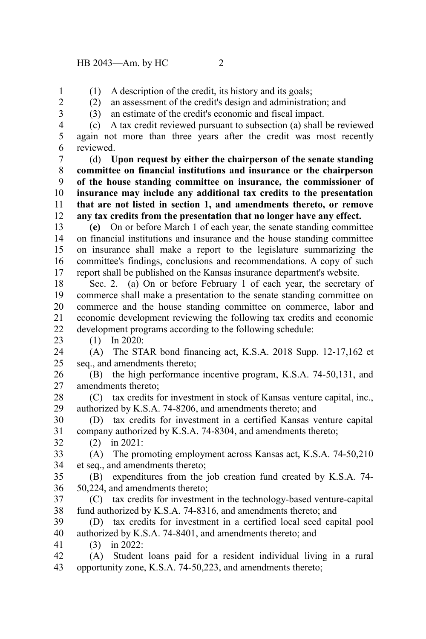(1) A description of the credit, its history and its goals;

1 2

(2) an assessment of the credit's design and administration; and (3) an estimate of the credit's economic and fiscal impact.

3 4 5

23

32

(c) A tax credit reviewed pursuant to subsection (a) shall be reviewed again not more than three years after the credit was most recently reviewed. 6

(d) **Upon request by either the chairperson of the senate standing committee on financial institutions and insurance or the chairperson of the house standing committee on insurance, the commissioner of insurance may include any additional tax credits to the presentation that are not listed in section 1, and amendments thereto, or remove any tax credits from the presentation that no longer have any effect.** 7 8 9 10 11 12

**(e)** On or before March 1 of each year, the senate standing committee on financial institutions and insurance and the house standing committee on insurance shall make a report to the legislature summarizing the committee's findings, conclusions and recommendations. A copy of such report shall be published on the Kansas insurance department's website. 13 14 15 16 17

Sec. 2. (a) On or before February 1 of each year, the secretary of commerce shall make a presentation to the senate standing committee on commerce and the house standing committee on commerce, labor and economic development reviewing the following tax credits and economic development programs according to the following schedule: 18 19 20 21 22

(1) In 2020:

(A) The STAR bond financing act, K.S.A. 2018 Supp. 12-17,162 et seq., and amendments thereto; 24 25

(B) the high performance incentive program, K.S.A. 74-50,131, and amendments thereto; 26 27

(C) tax credits for investment in stock of Kansas venture capital, inc., authorized by K.S.A. 74-8206, and amendments thereto; and 28 29

(D) tax credits for investment in a certified Kansas venture capital company authorized by K.S.A. 74-8304, and amendments thereto; 30 31

(2) in 2021:

(A) The promoting employment across Kansas act, K.S.A. 74-50,210 et seq., and amendments thereto; 33 34

(B) expenditures from the job creation fund created by K.S.A. 74- 50,224, and amendments thereto; 35 36

(C) tax credits for investment in the technology-based venture-capital fund authorized by K.S.A. 74-8316, and amendments thereto; and 37 38

(D) tax credits for investment in a certified local seed capital pool authorized by K.S.A. 74-8401, and amendments thereto; and 39 40

(3) in 2022: 41

(A) Student loans paid for a resident individual living in a rural opportunity zone, K.S.A. 74-50,223, and amendments thereto; 42 43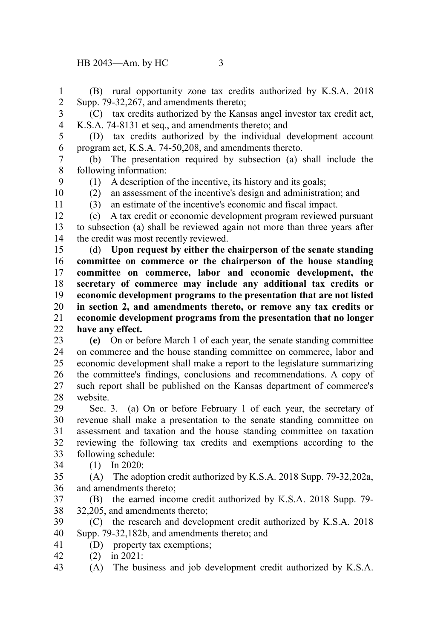(B) rural opportunity zone tax credits authorized by K.S.A. 2018 Supp. 79-32,267, and amendments thereto; 1 2

3

(C) tax credits authorized by the Kansas angel investor tax credit act, K.S.A. 74-8131 et seq., and amendments thereto; and 4

5 6

9

11

(D) tax credits authorized by the individual development account program act, K.S.A. 74-50,208, and amendments thereto.

(b) The presentation required by subsection (a) shall include the following information: 7 8

(1) A description of the incentive, its history and its goals;

10

(2) an assessment of the incentive's design and administration; and (3) an estimate of the incentive's economic and fiscal impact.

(c) A tax credit or economic development program reviewed pursuant to subsection (a) shall be reviewed again not more than three years after the credit was most recently reviewed. 12 13 14

(d) **Upon request by either the chairperson of the senate standing committee on commerce or the chairperson of the house standing committee on commerce, labor and economic development, the secretary of commerce may include any additional tax credits or economic development programs to the presentation that are not listed in section 2, and amendments thereto, or remove any tax credits or economic development programs from the presentation that no longer have any effect.** 15 16 17 18 19 20 21 22

**(e)** On or before March 1 of each year, the senate standing committee on commerce and the house standing committee on commerce, labor and economic development shall make a report to the legislature summarizing the committee's findings, conclusions and recommendations. A copy of such report shall be published on the Kansas department of commerce's website. 23 24 25 26 27 28

Sec. 3. (a) On or before February 1 of each year, the secretary of revenue shall make a presentation to the senate standing committee on assessment and taxation and the house standing committee on taxation reviewing the following tax credits and exemptions according to the following schedule: 29 30 31 32 33

(1) In 2020: 34

(A) The adoption credit authorized by K.S.A. 2018 Supp. 79-32,202a, and amendments thereto; 35 36

(B) the earned income credit authorized by K.S.A. 2018 Supp. 79- 32,205, and amendments thereto; 37 38

(C) the research and development credit authorized by K.S.A. 2018 Supp. 79-32,182b, and amendments thereto; and 39 40

- (D) property tax exemptions; 41
- (2) in 2021: 42

(A) The business and job development credit authorized by K.S.A. 43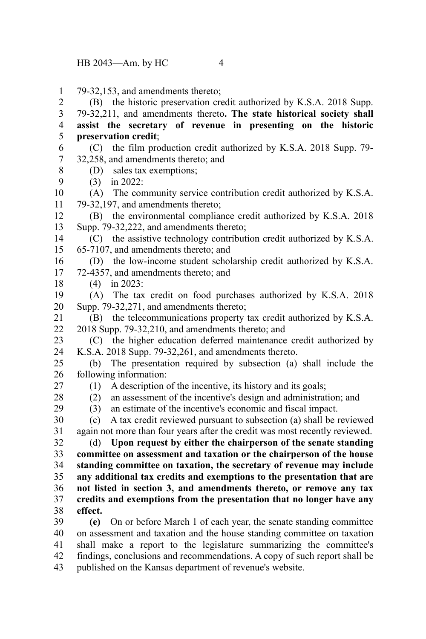79-32,153, and amendments thereto; 1

(B) the historic preservation credit authorized by K.S.A. 2018 Supp. 2

79-32,211, and amendments thereto**. The state historical society shall assist the secretary of revenue in presenting on the historic preservation credit**; 3 4 5

- (C) the film production credit authorized by K.S.A. 2018 Supp. 79- 32,258, and amendments thereto; and 6 7
	- (D) sales tax exemptions;
- (3) in 2022: 9

8

(A) The community service contribution credit authorized by K.S.A. 79-32,197, and amendments thereto; 10 11

(B) the environmental compliance credit authorized by K.S.A. 2018 Supp. 79-32,222, and amendments thereto; 12 13

(C) the assistive technology contribution credit authorized by K.S.A. 65-7107, and amendments thereto; and 14 15

(D) the low-income student scholarship credit authorized by K.S.A. 72-4357, and amendments thereto; and 16 17

(4) in 2023:

(A) The tax credit on food purchases authorized by K.S.A. 2018 Supp. 79-32,271, and amendments thereto; 19 20

(B) the telecommunications property tax credit authorized by K.S.A. 2018 Supp. 79-32,210, and amendments thereto; and 21 22

(C) the higher education deferred maintenance credit authorized by K.S.A. 2018 Supp. 79-32,261, and amendments thereto. 23 24

(b) The presentation required by subsection (a) shall include the following information: 25 26

27 28

29

18

(1) A description of the incentive, its history and its goals;

(2) an assessment of the incentive's design and administration; and

(3) an estimate of the incentive's economic and fiscal impact.

(c) A tax credit reviewed pursuant to subsection (a) shall be reviewed again not more than four years after the credit was most recently reviewed. 30 31

(d) **Upon request by either the chairperson of the senate standing committee on assessment and taxation or the chairperson of the house standing committee on taxation, the secretary of revenue may include any additional tax credits and exemptions to the presentation that are not listed in section 3, and amendments thereto, or remove any tax credits and exemptions from the presentation that no longer have any effect.** 32 33 34 35 36 37 38

**(e)** On or before March 1 of each year, the senate standing committee on assessment and taxation and the house standing committee on taxation shall make a report to the legislature summarizing the committee's findings, conclusions and recommendations. A copy of such report shall be published on the Kansas department of revenue's website. 39 40 41 42 43